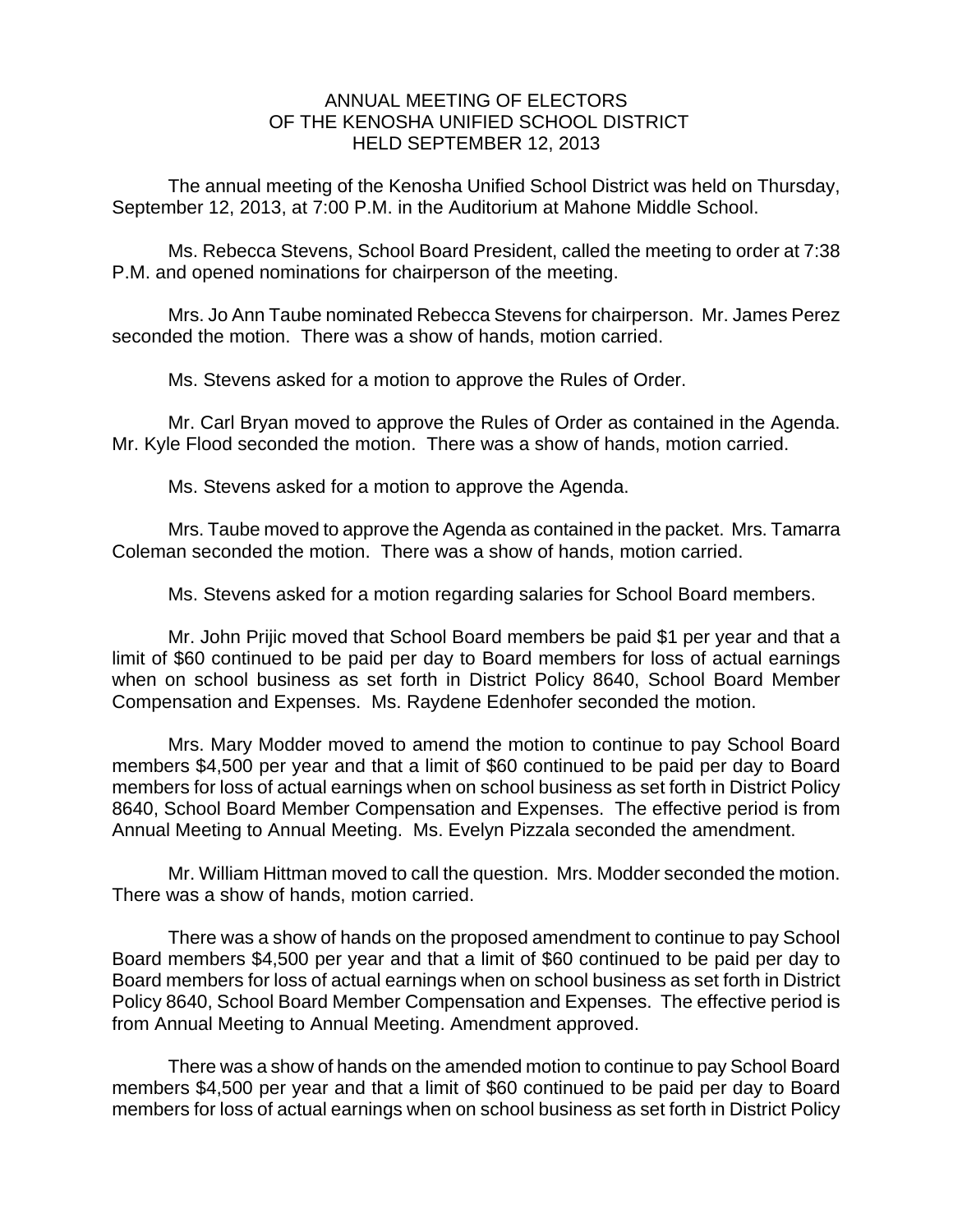## ANNUAL MEETING OF ELECTORS OF THE KENOSHA UNIFIED SCHOOL DISTRICT HELD SEPTEMBER 12, 2013

The annual meeting of the Kenosha Unified School District was held on Thursday, September 12, 2013, at 7:00 P.M. in the Auditorium at Mahone Middle School.

Ms. Rebecca Stevens, School Board President, called the meeting to order at 7:38 P.M. and opened nominations for chairperson of the meeting.

Mrs. Jo Ann Taube nominated Rebecca Stevens for chairperson. Mr. James Perez seconded the motion. There was a show of hands, motion carried.

Ms. Stevens asked for a motion to approve the Rules of Order.

Mr. Carl Bryan moved to approve the Rules of Order as contained in the Agenda. Mr. Kyle Flood seconded the motion. There was a show of hands, motion carried.

Ms. Stevens asked for a motion to approve the Agenda.

 Mrs. Taube moved to approve the Agenda as contained in the packet. Mrs. Tamarra Coleman seconded the motion. There was a show of hands, motion carried.

Ms. Stevens asked for a motion regarding salaries for School Board members.

Mr. John Prijic moved that School Board members be paid \$1 per year and that a limit of \$60 continued to be paid per day to Board members for loss of actual earnings when on school business as set forth in District Policy 8640, School Board Member Compensation and Expenses. Ms. Raydene Edenhofer seconded the motion.

Mrs. Mary Modder moved to amend the motion to continue to pay School Board members \$4,500 per year and that a limit of \$60 continued to be paid per day to Board members for loss of actual earnings when on school business as set forth in District Policy 8640, School Board Member Compensation and Expenses. The effective period is from Annual Meeting to Annual Meeting. Ms. Evelyn Pizzala seconded the amendment.

Mr. William Hittman moved to call the question. Mrs. Modder seconded the motion. There was a show of hands, motion carried.

 There was a show of hands on the proposed amendment to continue to pay School Board members \$4,500 per year and that a limit of \$60 continued to be paid per day to Board members for loss of actual earnings when on school business as set forth in District Policy 8640, School Board Member Compensation and Expenses. The effective period is from Annual Meeting to Annual Meeting. Amendment approved.

 There was a show of hands on the amended motion to continue to pay School Board members \$4,500 per year and that a limit of \$60 continued to be paid per day to Board members for loss of actual earnings when on school business as set forth in District Policy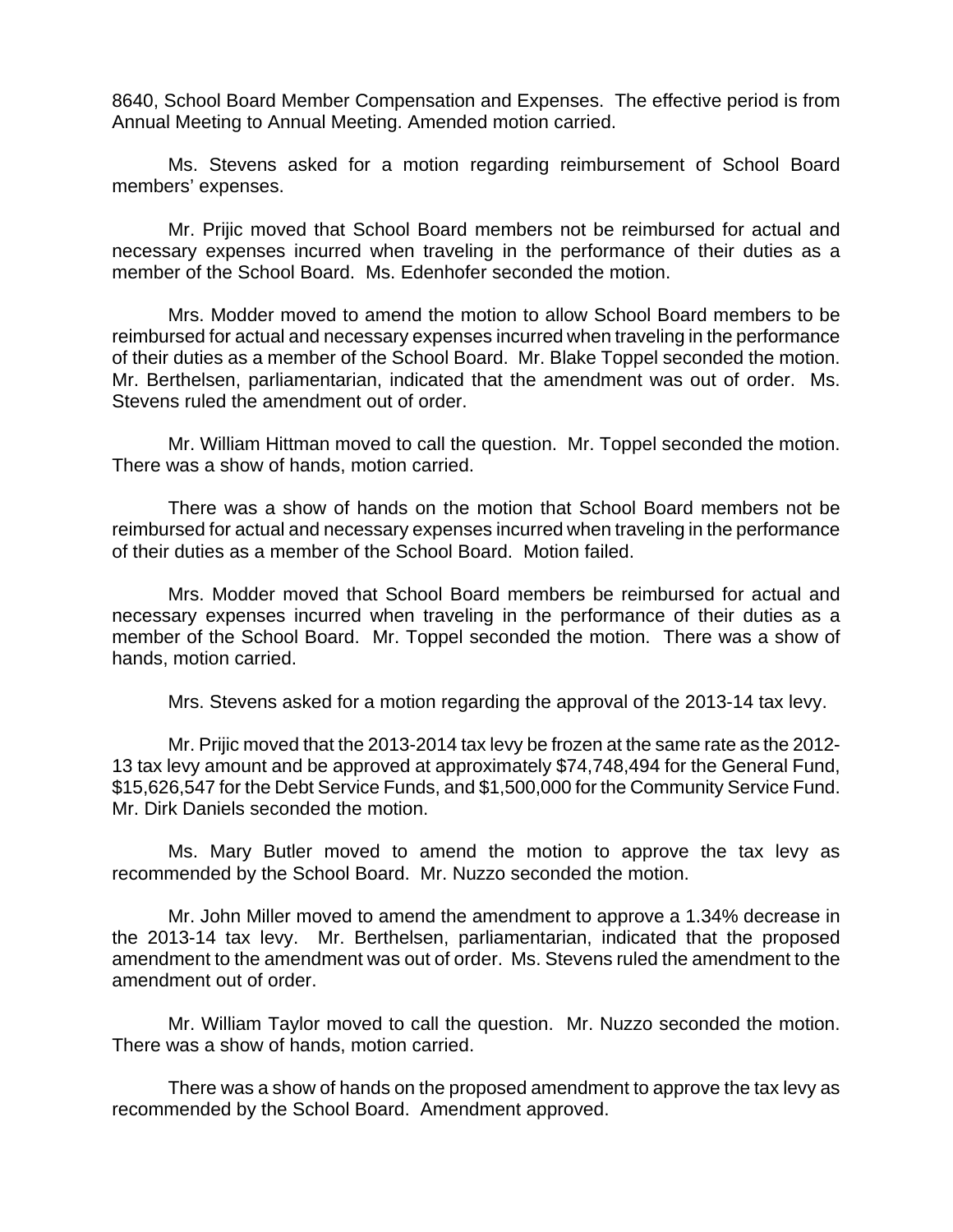8640, School Board Member Compensation and Expenses. The effective period is from Annual Meeting to Annual Meeting. Amended motion carried.

 Ms. Stevens asked for a motion regarding reimbursement of School Board members' expenses.

Mr. Prijic moved that School Board members not be reimbursed for actual and necessary expenses incurred when traveling in the performance of their duties as a member of the School Board. Ms. Edenhofer seconded the motion.

Mrs. Modder moved to amend the motion to allow School Board members to be reimbursed for actual and necessary expenses incurred when traveling in the performance of their duties as a member of the School Board. Mr. Blake Toppel seconded the motion. Mr. Berthelsen, parliamentarian, indicated that the amendment was out of order. Ms. Stevens ruled the amendment out of order.

Mr. William Hittman moved to call the question. Mr. Toppel seconded the motion. There was a show of hands, motion carried.

There was a show of hands on the motion that School Board members not be reimbursed for actual and necessary expenses incurred when traveling in the performance of their duties as a member of the School Board. Motion failed.

Mrs. Modder moved that School Board members be reimbursed for actual and necessary expenses incurred when traveling in the performance of their duties as a member of the School Board. Mr. Toppel seconded the motion. There was a show of hands, motion carried.

Mrs. Stevens asked for a motion regarding the approval of the 2013-14 tax levy.

 Mr. Prijic moved that the 2013-2014 tax levy be frozen at the same rate as the 2012- 13 tax levy amount and be approved at approximately \$74,748,494 for the General Fund, \$15,626,547 for the Debt Service Funds, and \$1,500,000 for the Community Service Fund. Mr. Dirk Daniels seconded the motion.

 Ms. Mary Butler moved to amend the motion to approve the tax levy as recommended by the School Board. Mr. Nuzzo seconded the motion.

 Mr. John Miller moved to amend the amendment to approve a 1.34% decrease in the 2013-14 tax levy. Mr. Berthelsen, parliamentarian, indicated that the proposed amendment to the amendment was out of order. Ms. Stevens ruled the amendment to the amendment out of order.

 Mr. William Taylor moved to call the question. Mr. Nuzzo seconded the motion. There was a show of hands, motion carried.

 There was a show of hands on the proposed amendment to approve the tax levy as recommended by the School Board. Amendment approved.